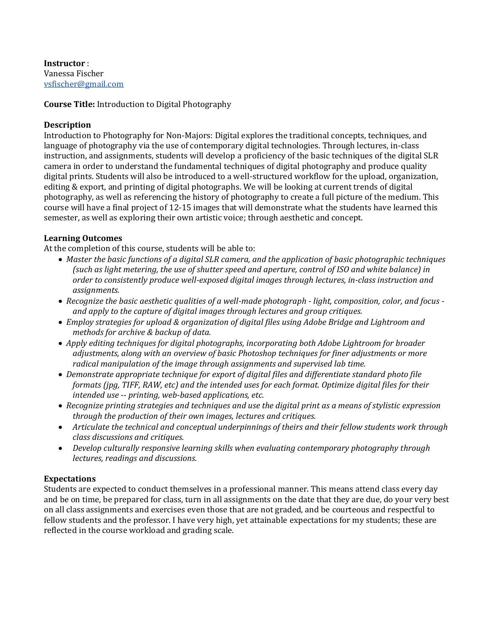**Instructor** : Vanessa Fischer [vsfischer@gmail.com](mailto:vsfischer@gmail.com)

#### **Course Title:** Introduction to Digital Photography

#### **Description**

Introduction to Photography for Non-Majors: Digital explores the traditional concepts, techniques, and language of photography via the use of contemporary digital technologies. Through lectures, in-class instruction, and assignments, students will develop a proficiency of the basic techniques of the digital SLR camera in order to understand the fundamental techniques of digital photography and produce quality digital prints. Students will also be introduced to a well-structured workflow for the upload, organization, editing & export, and printing of digital photographs. We will be looking at current trends of digital photography, as well as referencing the history of photography to create a full picture of the medium. This course will have a final project of 12-15 images that will demonstrate what the students have learned this semester, as well as exploring their own artistic voice; through aesthetic and concept.

#### **Learning Outcomes**

At the completion of this course, students will be able to:

- *Master the basic functions of a digital SLR camera, and the application of basic photographic techniques (such as light metering, the use of shutter speed and aperture, control of ISO and white balance) in order to consistently produce well-exposed digital images through lectures, in-class instruction and assignments.*
- *Recognize the basic aesthetic qualities of a well-made photograph - light, composition, color, and focus and apply to the capture of digital images through lectures and group critiques.*
- *Employ strategies for upload & organization of digital files using Adobe Bridge and Lightroom and methods for archive & backup of data.*
- *Apply editing techniques for digital photographs, incorporating both Adobe Lightroom for broader adjustments, along with an overview of basic Photoshop techniques for finer adjustments or more radical manipulation of the image through assignments and supervised lab time.*
- *Demonstrate appropriate technique for export of digital files and differentiate standard photo file formats (jpg, TIFF, RAW, etc) and the intended uses for each format. Optimize digital files for their intended use -- printing, web-based applications, etc.*
- *Recognize printing strategies and techniques and use the digital print as a means of stylistic expression through the production of their own images, lectures and critiques.*
- Articulate the technical and conceptual underpinnings of theirs and their fellow students work *through class discussions and critiques.*
- *Develop culturally responsive learning skills when evaluating contemporary photography through lectures, readings and discussions.*

#### **Expectations**

Students are expected to conduct themselves in a professional manner. This means attend class every day and be on time, be prepared for class, turn in all assignments on the date that they are due, do your very best on all class assignments and exercises even those that are not graded, and be courteous and respectful to fellow students and the professor. I have very high, yet attainable expectations for my students; these are reflected in the course workload and grading scale.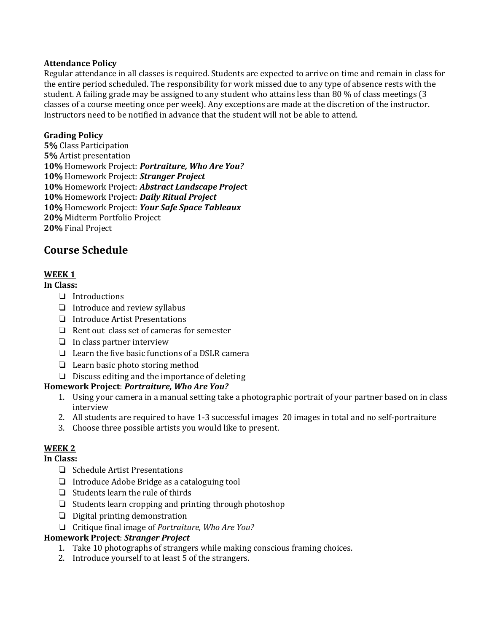#### **Attendance Policy**

Regular attendance in all classes is required. Students are expected to arrive on time and remain in class for the entire period scheduled. The responsibility for work missed due to any type of absence rests with the student. A failing grade may be assigned to any student who attains less than 80 % of class meetings (3 classes of a course meeting once per week). Any exceptions are made at the discretion of the instructor. Instructors need to be notified in advance that the student will not be able to attend.

#### **Grading Policy**

**5%** Class Participation **5%** Artist presentation **10%** Homework Project: *Portraiture, Who Are You?* **10%** Homework Project: *Stranger Project*  **10%** Homework Project: *Abstract Landscape Projec***t 10%** Homework Project: *Daily Ritual Project*  **10%** Homework Project: *Your Safe Space Tableaux* **20%** Midterm Portfolio Project **20%** Final Project

## **Course Schedule**

### **WEEK 1**

#### **In Class:**

- ❏ Introductions
- ❏ Introduce and review syllabus
- ❏ Introduce Artist Presentations
- ❏ Rent out class set of cameras for semester
- ❏ In class partner interview
- ❏ Learn the five basic functions of a DSLR camera
- ❏ Learn basic photo storing method
- ❏ Discuss editing and the importance of deleting

#### **Homework Project**: *Portraiture, Who Are You?*

- 1. Using your camera in a manual setting take a photographic portrait of your partner based on in class interview
- 2. All students are required to have 1-3 successful images 20 images in total and no self-portraiture
- 3. Choose three possible artists you would like to present.

### **WEEK 2**

### **In Class:**

- ❏ Schedule Artist Presentations
- ❏ Introduce Adobe Bridge as a cataloguing tool
- ❏ Students learn the rule of thirds
- ❏ Students learn cropping and printing through photoshop
- ❏ Digital printing demonstration
- ❏ Critique final image of *Portraiture, Who Are You?*

#### **Homework Project**: *Stranger Project*

- 1. Take 10 photographs of strangers while making conscious framing choices.
- 2. Introduce yourself to at least 5 of the strangers.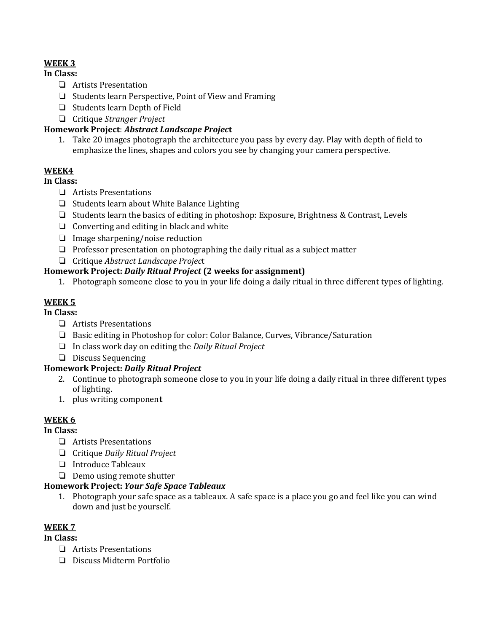## **WEEK 3**

#### **In Class:**

- ❏ Artists Presentation
- ❏ Students learn Perspective, Point of View and Framing
- ❏ Students learn Depth of Field
- ❏ Critique *Stranger Project*

## **Homework Project**: *Abstract Landscape Projec***t**

1. Take 20 images photograph the architecture you pass by every day. Play with depth of field to emphasize the lines, shapes and colors you see by changing your camera perspective.

## **WEEK4**

**In Class:** 

- ❏ Artists Presentations
- ❏ Students learn about White Balance Lighting
- ❏ Students learn the basics of editing in photoshop: Exposure, Brightness & Contrast, Levels
- ❏ Converting and editing in black and white
- ❏ Image sharpening/noise reduction
- ❏ Professor presentation on photographing the daily ritual as a subject matter
- ❏ Critique *Abstract Landscape Projec*t

## **Homework Project:** *Daily Ritual Project* **(2 weeks for assignment)**

1. Photograph someone close to you in your life doing a daily ritual in three different types of lighting.

## **WEEK 5**

**In Class:** 

- ❏ Artists Presentations
- ❏ Basic editing in Photoshop for color: Color Balance, Curves, Vibrance/Saturation
- ❏ In class work day on editing the *Daily Ritual Project*
- ❏ Discuss Sequencing

## **Homework Project:** *Daily Ritual Project*

- 2. Continue to photograph someone close to you in your life doing a daily ritual in three different types of lighting.
- 1. plus writing componen**t**

## **WEEK 6**

### **In Class:**

- ❏ Artists Presentations
- ❏ Critique *Daily Ritual Project*
- ❏ Introduce Tableaux
- ❏ Demo using remote shutter

### **Homework Project:** *Your Safe Space Tableaux*

1. Photograph your safe space as a tableaux. A safe space is a place you go and feel like you can wind down and just be yourself.

### **WEEK 7**

### **In Class:**

- ❏ Artists Presentations
- ❏ Discuss Midterm Portfolio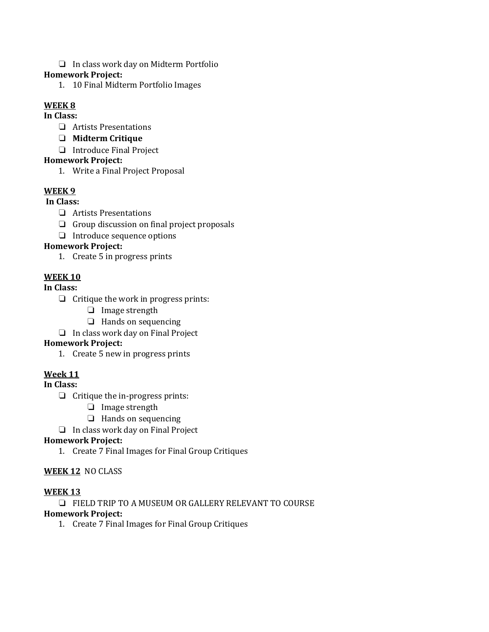❏ In class work day on Midterm Portfolio

#### **Homework Project:**

1. 10 Final Midterm Portfolio Images

## **WEEK 8**

## **In Class:**

- ❏ Artists Presentations
- ❏ **Midterm Critique**
- ❏ Introduce Final Project

#### **Homework Project:**

1. Write a Final Project Proposal

## **WEEK 9**

#### **In Class:**

- ❏ Artists Presentations
- ❏ Group discussion on final project proposals
- ❏ Introduce sequence options

## **Homework Project:**

1. Create 5 in progress prints

## **WEEK 10**

## **In Class:**

- ❏ Critique the work in progress prints:
	- ❏ Image strength
	- ❏ Hands on sequencing
- ❏ In class work day on Final Project

### **Homework Project:**

1. Create 5 new in progress prints

## **Week 11**

**In Class:**

- ❏ Critique the in-progress prints:
	- ❏ Image strength
	- ❏ Hands on sequencing
- ❏ In class work day on Final Project

### **Homework Project:**

1. Create 7 Final Images for Final Group Critiques

### **WEEK 12** NO CLASS

### **WEEK 13**

❏ FIELD TRIP TO A MUSEUM OR GALLERY RELEVANT TO COURSE

#### **Homework Project:**

1. Create 7 Final Images for Final Group Critiques